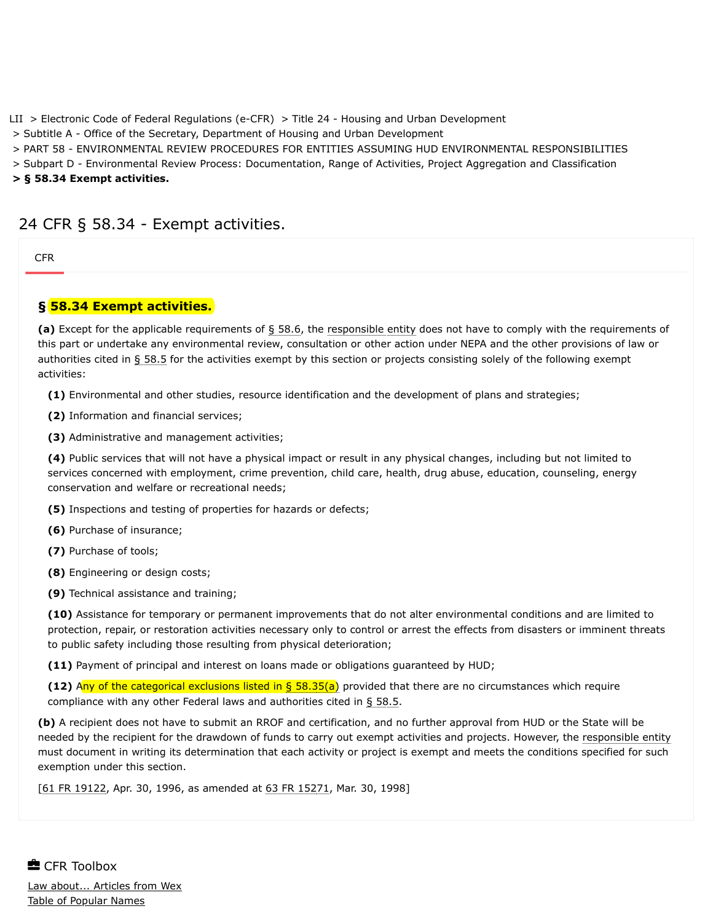[LII](https://www.law.cornell.edu/) > [Electronic Code of Federal Regulations \(e-CFR\)](https://www.law.cornell.edu/cfr/text) > [Title 24 - Housing and Urban Development](https://www.law.cornell.edu/cfr/text/24)

> [Subtitle A - Office of the Secretary, Department of Housing and Urban Development](https://www.law.cornell.edu/cfr/text/24/subtitle-A)

> [PART 58 - ENVIRONMENTAL REVIEW PROCEDURES FOR ENTITIES ASSUMING HUD ENVIRONMENTAL RESPONSIBILITIES](https://www.law.cornell.edu/cfr/text/24/part-58)

> [Subpart D - Environmental Review Process: Documentation, Range of Activities, Project Aggregation and Classification](https://www.law.cornell.edu/cfr/text/24/part-58/subpart-D)

**> § 58.34 Exempt activities.**

## 24 CFR § 58.34 - Exempt activities.

**[CFR](#page-0-0)** 

## <span id="page-0-0"></span>**§ 58.34 Exempt activities.**

**(a)** Except for the applicable requirements of [§ 58.6](https://www.law.cornell.edu/cfr/text/24/58.6), the [responsible entity](https://www.law.cornell.edu/definitions/index.php?width=840&height=800&iframe=true&def_id=bed963b519a9395bfe6bbbea694c6773&term_occur=999&term_src=Title:24:Subtitle:A:Part:58:Subpart:D:58.34) does not have to comply with the requirements of this part or undertake any environmental review, consultation or other action under NEPA and the other provisions of law or authorities cited in [§ 58.5](https://www.law.cornell.edu/cfr/text/24/58.5) for the activities exempt by this section or projects consisting solely of the following exempt activities:

**(1)** Environmental and other studies, resource identification and the development of plans and strategies;

**(2)** Information and financial services;

**(3)** Administrative and management activities;

**(4)** Public services that will not have a physical impact or result in any physical changes, including but not limited to services concerned with employment, crime prevention, child care, health, drug abuse, education, counseling, energy conservation and welfare or recreational needs;

**(5)** Inspections and testing of properties for hazards or defects;

**(6)** Purchase of insurance;

**(7)** Purchase of tools;

**(8)** Engineering or design costs;

**(9)** Technical assistance and training;

**(10)** Assistance for temporary or permanent improvements that do not alter environmental conditions and are limited to protection, repair, or restoration activities necessary only to control or arrest the effects from disasters or imminent threats to public safety including those resulting from physical deterioration;

**(11)** Payment of principal and interest on loans made or obligations guaranteed by HUD;

**(12)** Any of the categorical exclusions listed in [§ 58.35\(a\)](https://www.law.cornell.edu/cfr/text/24/58.35#a) provided that there are no circumstances which require compliance with any other Federal laws and authorities cited in [§ 58.5](https://www.law.cornell.edu/cfr/text/24/58.5).

**(b)** A recipient does not have to submit an RROF and certification, and no further approval from HUD or the State will be needed by the recipient for the drawdown of funds to carry out exempt activities and projects. However, the [responsible entity](https://www.law.cornell.edu/definitions/index.php?width=840&height=800&iframe=true&def_id=bed963b519a9395bfe6bbbea694c6773&term_occur=999&term_src=Title:24:Subtitle:A:Part:58:Subpart:D:58.34) must document in writing its determination that each activity or project is exempt and meets the conditions specified for such exemption under this section.

[\[61 FR 19122](https://www.law.cornell.edu/rio/citation/61_FR_19122), Apr. 30, 1996, as amended at [63 FR 15271,](https://www.law.cornell.edu/rio/citation/63_FR_15271) Mar. 30, 1998]

**E** CFR Toolbox [Law about... Articles from Wex](https://www.law.cornell.edu/wex/wex_articles) [Table of Popular Names](https://www.law.cornell.edu/topn)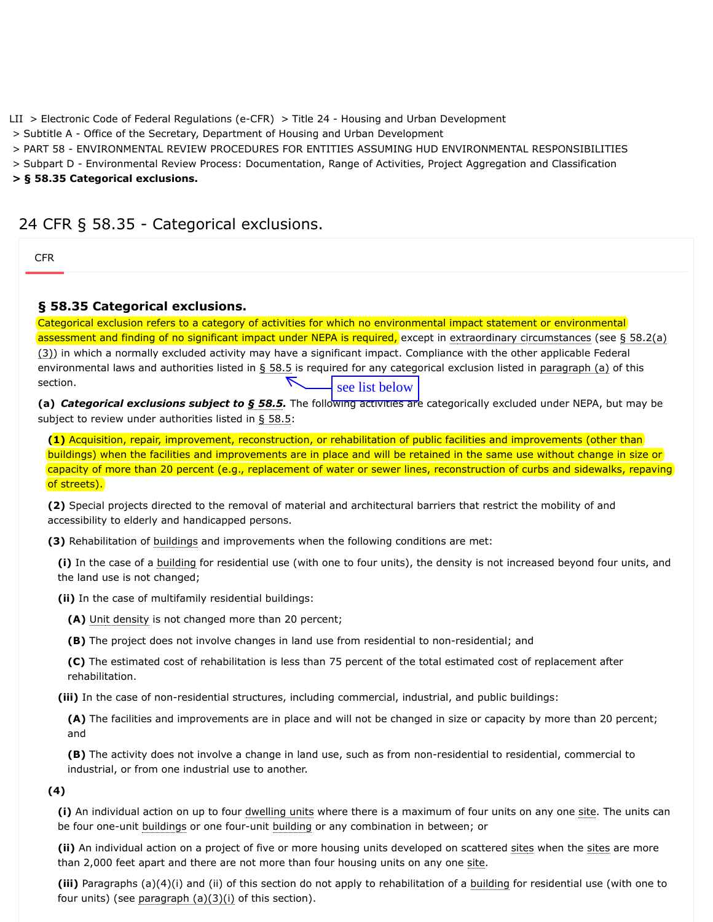[LII](https://www.law.cornell.edu/) > [Electronic Code of Federal Regulations \(e-CFR\)](https://www.law.cornell.edu/cfr/text) > [Title 24 - Housing and Urban Development](https://www.law.cornell.edu/cfr/text/24)

> [Subtitle A - Office of the Secretary, Department of Housing and Urban Development](https://www.law.cornell.edu/cfr/text/24/subtitle-A)

> [PART 58 - ENVIRONMENTAL REVIEW PROCEDURES FOR ENTITIES ASSUMING HUD ENVIRONMENTAL RESPONSIBILITIES](https://www.law.cornell.edu/cfr/text/24/part-58)

> [Subpart D - Environmental Review Process: Documentation, Range of Activities, Project Aggregation and Classification](https://www.law.cornell.edu/cfr/text/24/part-58/subpart-D)

**> § 58.35 Categorical exclusions.**

# 24 CFR § 58.35 - Categorical exclusions.

| <b>CFR</b>                                                                                                                                                                                                                                                                                                                                                                                                                                                                                                                                                                                                                                                                                                                          |  |
|-------------------------------------------------------------------------------------------------------------------------------------------------------------------------------------------------------------------------------------------------------------------------------------------------------------------------------------------------------------------------------------------------------------------------------------------------------------------------------------------------------------------------------------------------------------------------------------------------------------------------------------------------------------------------------------------------------------------------------------|--|
| § 58.35 Categorical exclusions.                                                                                                                                                                                                                                                                                                                                                                                                                                                                                                                                                                                                                                                                                                     |  |
| Categorical exclusion refers to a category of activities for which no environmental impact statement or environmental<br>assessment and finding of no significant impact under NEPA is required, except in extraordinary circumstances (see § 58.2(a)<br>(3)) in which a normally excluded activity may have a significant impact. Compliance with the other applicable Federal<br>environmental laws and authorities listed in § 58.5 is required for any categorical exclusion listed in paragraph (a) of this<br>section.<br>see list below<br>(a) Categorical exclusions subject to § 58.5. The following activities are categorically excluded under NEPA, but may be<br>subject to review under authorities listed in § 58.5: |  |
| (1) Acquisition, repair, improvement, reconstruction, or rehabilitation of public facilities and improvements (other than)<br>buildings) when the facilities and improvements are in place and will be retained in the same use without change in size or<br>capacity of more than 20 percent (e.g., replacement of water or sewer lines, reconstruction of curbs and sidewalks, repaving<br>of streets).                                                                                                                                                                                                                                                                                                                           |  |
| (2) Special projects directed to the removal of material and architectural barriers that restrict the mobility of and<br>accessibility to elderly and handicapped persons.                                                                                                                                                                                                                                                                                                                                                                                                                                                                                                                                                          |  |
| (3) Rehabilitation of buildings and improvements when the following conditions are met:                                                                                                                                                                                                                                                                                                                                                                                                                                                                                                                                                                                                                                             |  |
| (i) In the case of a building for residential use (with one to four units), the density is not increased beyond four units, and<br>the land use is not changed;                                                                                                                                                                                                                                                                                                                                                                                                                                                                                                                                                                     |  |
| (ii) In the case of multifamily residential buildings:                                                                                                                                                                                                                                                                                                                                                                                                                                                                                                                                                                                                                                                                              |  |
| (A) Unit density is not changed more than 20 percent;                                                                                                                                                                                                                                                                                                                                                                                                                                                                                                                                                                                                                                                                               |  |
| (B) The project does not involve changes in land use from residential to non-residential; and                                                                                                                                                                                                                                                                                                                                                                                                                                                                                                                                                                                                                                       |  |
| (C) The estimated cost of rehabilitation is less than 75 percent of the total estimated cost of replacement after<br>rehabilitation.                                                                                                                                                                                                                                                                                                                                                                                                                                                                                                                                                                                                |  |
| (iii) In the case of non-residential structures, including commercial, industrial, and public buildings:                                                                                                                                                                                                                                                                                                                                                                                                                                                                                                                                                                                                                            |  |
| (A) The facilities and improvements are in place and will not be changed in size or capacity by more than 20 percent;<br>and                                                                                                                                                                                                                                                                                                                                                                                                                                                                                                                                                                                                        |  |
| (B) The activity does not involve a change in land use, such as from non-residential to residential, commercial to<br>industrial, or from one industrial use to another.                                                                                                                                                                                                                                                                                                                                                                                                                                                                                                                                                            |  |
| (4)                                                                                                                                                                                                                                                                                                                                                                                                                                                                                                                                                                                                                                                                                                                                 |  |
| (i) An individual action on up to four dwelling units where there is a maximum of four units on any one site. The units can<br>be four one-unit buildings or one four-unit building or any combination in between; or                                                                                                                                                                                                                                                                                                                                                                                                                                                                                                               |  |
| (ii) An individual action on a project of five or more housing units developed on scattered sites when the sites are more<br>than 2,000 feet apart and there are not more than four housing units on any one site.                                                                                                                                                                                                                                                                                                                                                                                                                                                                                                                  |  |

**(iii)** Paragraphs (a)(4)(i) and (ii) of this section do not apply to rehabilitation of a [building](https://www.law.cornell.edu/definitions/index.php?width=840&height=800&iframe=true&def_id=cbbd9ad6b8590e2a1ea7739bda005e17&term_occur=999&term_src=Title:24:Subtitle:A:Part:58:Subpart:D:58.35) for residential use (with one to four units) (see paragraph  $(a)(3)(i)$  of this section).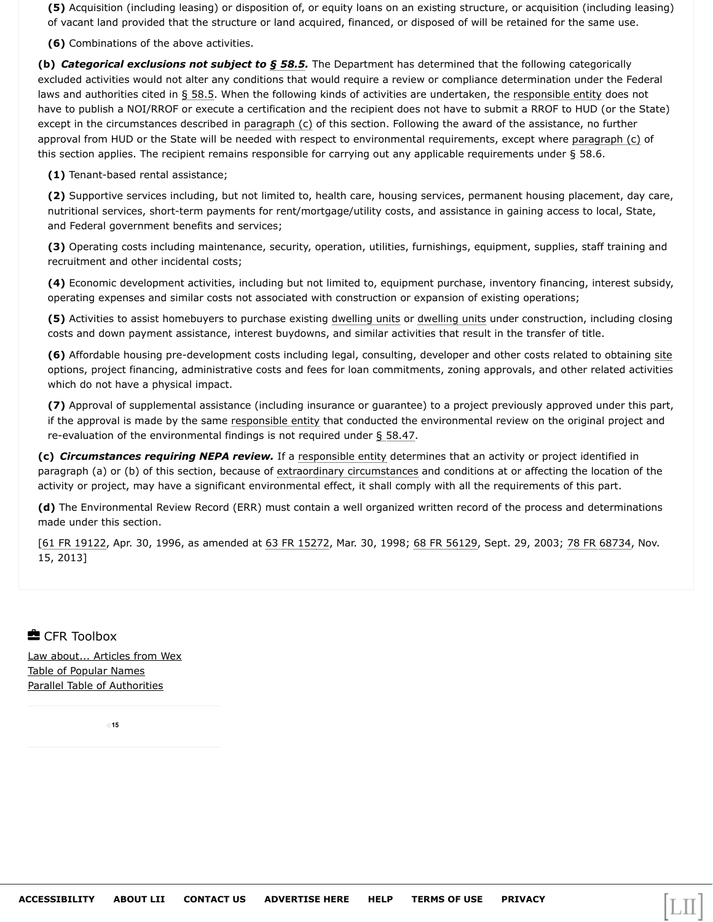**(5)** Acquisition (including leasing) or disposition of, or equity loans on an existing structure, or acquisition (including leasing) of vacant land provided that the structure or land acquired, financed, or disposed of will be retained for the same use.

**(6)** Combinations of the above activities.

**(b)** *Categorical exclusions not subject to [§ 58.5](https://www.law.cornell.edu/cfr/text/24/58.5).* The Department has determined that the following categorically excluded activities would not alter any conditions that would require a review or compliance determination under the Federal laws and authorities cited in [§ 58.5.](https://www.law.cornell.edu/cfr/text/24/58.5) When the following kinds of activities are undertaken, the [responsible entity](https://www.law.cornell.edu/definitions/index.php?width=840&height=800&iframe=true&def_id=bed963b519a9395bfe6bbbea694c6773&term_occur=999&term_src=Title:24:Subtitle:A:Part:58:Subpart:D:58.35) does not have to publish a NOI/RROF or execute a certification and the recipient does not have to submit a RROF to HUD (or the State) except in the circumstances described in paragraph (c) of this section. Following the award of the assistance, no further approval from HUD or the State will be needed with respect to environmental requirements, except where paragraph (c) of this section applies. The recipient remains responsible for carrying out any applicable requirements under § 58.6.

**(1)** Tenant-based rental assistance;

**(2)** Supportive services including, but not limited to, health care, housing services, permanent housing placement, day care, nutritional services, short-term payments for rent/mortgage/utility costs, and assistance in gaining access to local, State, and Federal government benefits and services;

**(3)** Operating costs including maintenance, security, operation, utilities, furnishings, equipment, supplies, staff training and recruitment and other incidental costs;

**(4)** Economic development activities, including but not limited to, equipment purchase, inventory financing, interest subsidy, operating expenses and similar costs not associated with construction or expansion of existing operations;

**(5)** Activities to assist homebuyers to purchase existing [dwelling units](https://www.law.cornell.edu/definitions/index.php?width=840&height=800&iframe=true&def_id=f9d540fc94fabd034ba35dd95e16e982&term_occur=999&term_src=Title:24:Subtitle:A:Part:58:Subpart:D:58.35) or [dwelling units](https://www.law.cornell.edu/definitions/index.php?width=840&height=800&iframe=true&def_id=f9d540fc94fabd034ba35dd95e16e982&term_occur=999&term_src=Title:24:Subtitle:A:Part:58:Subpart:D:58.35) under construction, including closing costs and down payment assistance, interest buydowns, and similar activities that result in the transfer of title.

**(6)** Affordable housing pre-development costs including legal, consulting, developer and other costs related to obtaining [site](https://www.law.cornell.edu/definitions/index.php?width=840&height=800&iframe=true&def_id=9ca21e7c16d251789f2a2dc5f0b800f1&term_occur=999&term_src=Title:24:Subtitle:A:Part:58:Subpart:D:58.35) options, project financing, administrative costs and fees for loan commitments, zoning approvals, and other related activities which do not have a physical impact.

**(7)** Approval of supplemental assistance (including insurance or guarantee) to a project previously approved under this part, if the approval is made by the same [responsible entity](https://www.law.cornell.edu/definitions/index.php?width=840&height=800&iframe=true&def_id=bed963b519a9395bfe6bbbea694c6773&term_occur=999&term_src=Title:24:Subtitle:A:Part:58:Subpart:D:58.35) that conducted the environmental review on the original project and re-evaluation of the environmental findings is not required under [§ 58.47](https://www.law.cornell.edu/cfr/text/24/58.47).

**(c)** *Circumstances requiring NEPA review.* If a [responsible entity](https://www.law.cornell.edu/definitions/index.php?width=840&height=800&iframe=true&def_id=bed963b519a9395bfe6bbbea694c6773&term_occur=999&term_src=Title:24:Subtitle:A:Part:58:Subpart:D:58.35) determines that an activity or project identified in paragraph (a) or (b) of this section, because of [extraordinary circumstances](https://www.law.cornell.edu/definitions/index.php?width=840&height=800&iframe=true&def_id=3416544f81aa1d5b5678ea5b061fe5b9&term_occur=999&term_src=Title:24:Subtitle:A:Part:58:Subpart:D:58.35) and conditions at or affecting the location of the activity or project, may have a significant environmental effect, it shall comply with all the requirements of this part.

**(d)** The Environmental Review Record (ERR) must contain a well organized written record of the process and determinations made under this section.

[\[61 FR 19122](https://www.law.cornell.edu/rio/citation/61_FR_19122), Apr. 30, 1996, as amended at [63 FR 15272,](https://www.law.cornell.edu/rio/citation/63_FR_15272) Mar. 30, 1998; [68 FR 56129](https://www.law.cornell.edu/rio/citation/68_FR_56129), Sept. 29, 2003; [78 FR 68734](https://www.law.cornell.edu/rio/citation/78_FR_68734), Nov. 15, 2013]

**E** CFR Toolbox

[Law about... Articles from Wex](https://www.law.cornell.edu/wex/wex_articles) [Table of Popular Names](https://www.law.cornell.edu/topn) [Parallel Table of Authorities](https://www.law.cornell.edu/ptoa)

**15**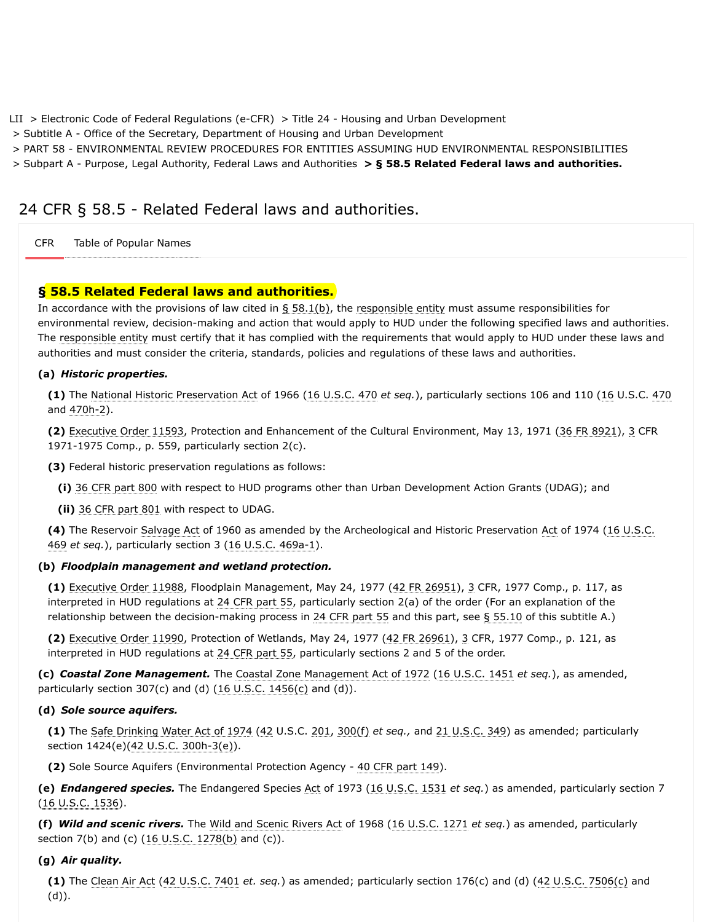[LII](https://www.law.cornell.edu/) > [Electronic Code of Federal Regulations \(e-CFR\)](https://www.law.cornell.edu/cfr/text) > [Title 24 - Housing and Urban Development](https://www.law.cornell.edu/cfr/text/24)

> [Subtitle A - Office of the Secretary, Department of Housing and Urban Development](https://www.law.cornell.edu/cfr/text/24/subtitle-A)

> [PART 58 - ENVIRONMENTAL REVIEW PROCEDURES FOR ENTITIES ASSUMING HUD ENVIRONMENTAL RESPONSIBILITIES](https://www.law.cornell.edu/cfr/text/24/part-58)

> [Subpart A - Purpose, Legal Authority, Federal Laws and Authorities](https://www.law.cornell.edu/cfr/text/24/part-58/subpart-A) **> § 58.5 Related Federal laws and authorities.**

# 24 CFR § 58.5 - Related Federal laws and authorities.

[CFR](#page-0-0) Table of Popular Names

### **§ 58.5 Related Federal laws and authorities.**

In accordance with the provisions of law cited in  $\S$  58.1(b), the [responsible entity](https://www.law.cornell.edu/definitions/index.php?width=840&height=800&iframe=true&def_id=bed963b519a9395bfe6bbbea694c6773&term_occur=999&term_src=Title:24:Subtitle:A:Part:58:Subpart:A:58.5) must assume responsibilities for environmental review, decision-making and action that would apply to HUD under the following specified laws and authorities. The [responsible entity](https://www.law.cornell.edu/definitions/index.php?width=840&height=800&iframe=true&def_id=bed963b519a9395bfe6bbbea694c6773&term_occur=999&term_src=Title:24:Subtitle:A:Part:58:Subpart:A:58.5) must certify that it has complied with the requirements that would apply to HUD under these laws and authorities and must consider the criteria, standards, policies and regulations of these laws and authorities.

#### **(a)** *Historic properties.*

**(1)** The [National Historic Preservation Act](https://www.law.cornell.edu/topn/national_historic_preservation_act) of 1966 ([16 U.S.C. 470](https://www.law.cornell.edu/uscode/text/16/470) *et seq.*), particularly sections 106 and 110 ([16](https://www.law.cornell.edu/uscode/text/16) U.S.C. [470](https://www.law.cornell.edu/uscode/text/16/470) and [470h-2\)](https://www.law.cornell.edu/uscode/text/16/470h-2).

**(2)** [Executive Order 11593,](https://www.govinfo.gov/link/cpd/executiveorder/11593) Protection and Enhancement of the Cultural Environment, May 13, 1971 [\(36 FR 8921](https://www.law.cornell.edu/rio/citation/36_FR_8921)), [3](https://www.law.cornell.edu/cfr/text/3) CFR 1971-1975 Comp., p. 559, particularly section 2(c).

**(3)** Federal historic preservation regulations as follows:

**(i)** [36 CFR part 800](https://www.law.cornell.edu/cfr/text/36/part-800) with respect to HUD programs other than Urban Development Action Grants (UDAG); and

**(ii)** [36 CFR part 801](https://www.law.cornell.edu/cfr/text/36/part-801) with respect to UDAG.

**(4)** [The Reservoir](https://www.law.cornell.edu/uscode/text/16/469) [Salvage Act](https://www.law.cornell.edu/topn/salvage_act) [of 1960 as amended by the Archeological and Historic Preservation A](https://www.law.cornell.edu/uscode/text/16/469)[ct](https://www.law.cornell.edu/definitions/index.php?width=840&height=800&iframe=true&def_id=cb1670f7ba397853d6444dee372d0ab2&term_occur=999&term_src=Title:24:Subtitle:A:Part:58:Subpart:A:58.5) [of 1974 \(16 U.S.C.](https://www.law.cornell.edu/uscode/text/16/469) 469 *et seq.*), particularly section 3 [\(16 U.S.C. 469a-1\)](https://www.law.cornell.edu/uscode/text/16/469a-1).

#### **(b)** *Floodplain management and wetland protection.*

**(1)** [Executive Order 11988,](https://www.govinfo.gov/link/cpd/executiveorder/11988) Floodplain Management, May 24, 1977 [\(42 FR 26951](https://www.law.cornell.edu/rio/citation/42_FR_26951)), [3](https://www.law.cornell.edu/cfr/text/3) CFR, 1977 Comp., p. 117, as interpreted in HUD regulations at [24 CFR part 55](https://www.law.cornell.edu/cfr/text/24/part-55), particularly section 2(a) of the order (For an explanation of the relationship between the decision-making process in [24 CFR part 55](https://www.law.cornell.edu/cfr/text/24/part-55) and this part, see  $\S$  55.10 of this subtitle A.)

**(2)** [Executive Order 11990,](https://www.govinfo.gov/link/cpd/executiveorder/11990) Protection of Wetlands, May 24, 1977 ([42 FR 26961\)](https://www.law.cornell.edu/rio/citation/42_FR_26961), [3](https://www.law.cornell.edu/cfr/text/3) CFR, 1977 Comp., p. 121, as interpreted in HUD regulations at [24 CFR part 55](https://www.law.cornell.edu/cfr/text/24/part-55), particularly sections 2 and 5 of the order.

**(c)** *Coastal Zone Management.* The [Coastal Zone Management Act of 1972](https://www.law.cornell.edu/topn/coastal_zone_management_act_of_1972) ([16 U.S.C. 1451](https://www.law.cornell.edu/uscode/text/16/1451) *et seq.*), as amended, particularly section 307(c) and (d)  $(16 \text{ U.S.C. } 1456(c)$  and  $(d)$ ).

#### **(d)** *Sole source aquifers.*

**(1)** The [Safe Drinking Water Act of 1974](https://www.law.cornell.edu/topn/safe_drinking_water_act_of_1974) ([42](https://www.law.cornell.edu/uscode/text/42) U.S.C. [201,](https://www.law.cornell.edu/uscode/text/42/201) [300\(f\)](https://www.law.cornell.edu/uscode/text/42/300#f) *et seq.,* and [21 U.S.C. 349\)](https://www.law.cornell.edu/uscode/text/21/349) as amended; particularly section 1424(e)[\(42 U.S.C. 300h-3\(e\)](https://www.law.cornell.edu/uscode/text/42/300h-3#e)).

**(2)** Sole Source Aquifers (Environmental Protection Agency - [40 CFR part 149](https://www.law.cornell.edu/cfr/text/40/part-149)).

**(e)** *Endangered species.* The Endangered Species [Act](https://www.law.cornell.edu/definitions/index.php?width=840&height=800&iframe=true&def_id=cb1670f7ba397853d6444dee372d0ab2&term_occur=999&term_src=Title:24:Subtitle:A:Part:58:Subpart:A:58.5) of 1973 [\(16 U.S.C. 1531](https://www.law.cornell.edu/uscode/text/16/1531) *et seq.*) as amended, particularly section 7 [\(16 U.S.C. 1536](https://www.law.cornell.edu/uscode/text/16/1536)).

**(f)** *Wild and scenic rivers.* The [Wild and Scenic Rivers Act](https://www.law.cornell.edu/topn/wild_and_scenic_rivers_act) of 1968 ([16 U.S.C. 1271](https://www.law.cornell.edu/uscode/text/16/1271) *et seq.*) as amended, particularly section 7(b) and (c) ([16 U.S.C. 1278\(b\)](https://www.law.cornell.edu/uscode/text/16/1278#b) and (c)).

#### **(g)** *Air quality.*

**(1)** The [Clean Air Act](https://www.law.cornell.edu/topn/air_pollution_control_act) [\(42 U.S.C. 7401](https://www.law.cornell.edu/uscode/text/42/7401) *et. seq.*) as amended; particularly section 176(c) and (d) ([42 U.S.C. 7506\(c\)](https://www.law.cornell.edu/uscode/text/42/7506#c) and (d)).